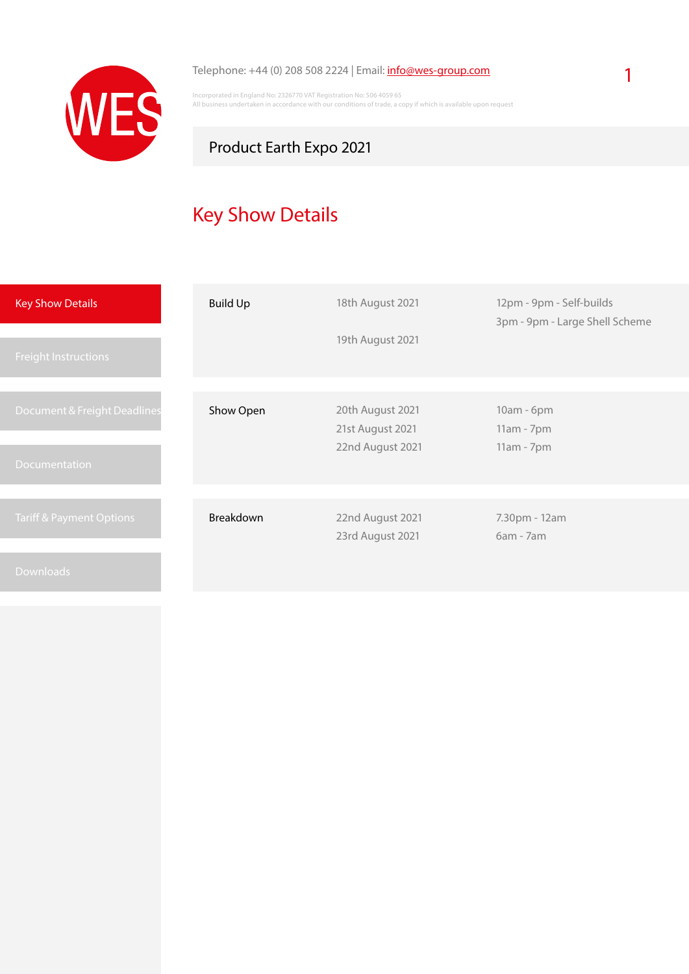

#### Telephone: +44 (0) 208 508 2224 | Email: [info@wes-group.com](mailto:info%40wes-group.com?subject=Product%20Earth%20Expo%202021%20-%20Logistic%20Services)

Incorporated in England No: 2326770 VAT Registration No: 506 4059 65 All business undertaken in accordance with our conditions of trade, a copy if which is available upon request

## Product Earth Expo 2021

# Key Show Details

| <b>Key Show Details</b>                       | <b>Build Up</b>  | 18th August 2021                                         | 12pm - 9pm - Self-builds<br>3pm - 9pm - Large Shell Scheme |
|-----------------------------------------------|------------------|----------------------------------------------------------|------------------------------------------------------------|
| <b>Freight Instructions</b>                   |                  | 19th August 2021                                         |                                                            |
| Document & Freight Deadlines<br>Documentation | Show Open        | 20th August 2021<br>21st August 2021<br>22nd August 2021 | 10am - 6pm<br>$11am - 7pm$<br>11am - 7pm                   |
| <b>Tariff &amp; Payment Options</b>           | <b>Breakdown</b> | 22nd August 2021<br>23rd August 2021                     | 7.30pm - 12am<br>$6am - 7am$                               |
| <b>Downloads</b>                              |                  |                                                          |                                                            |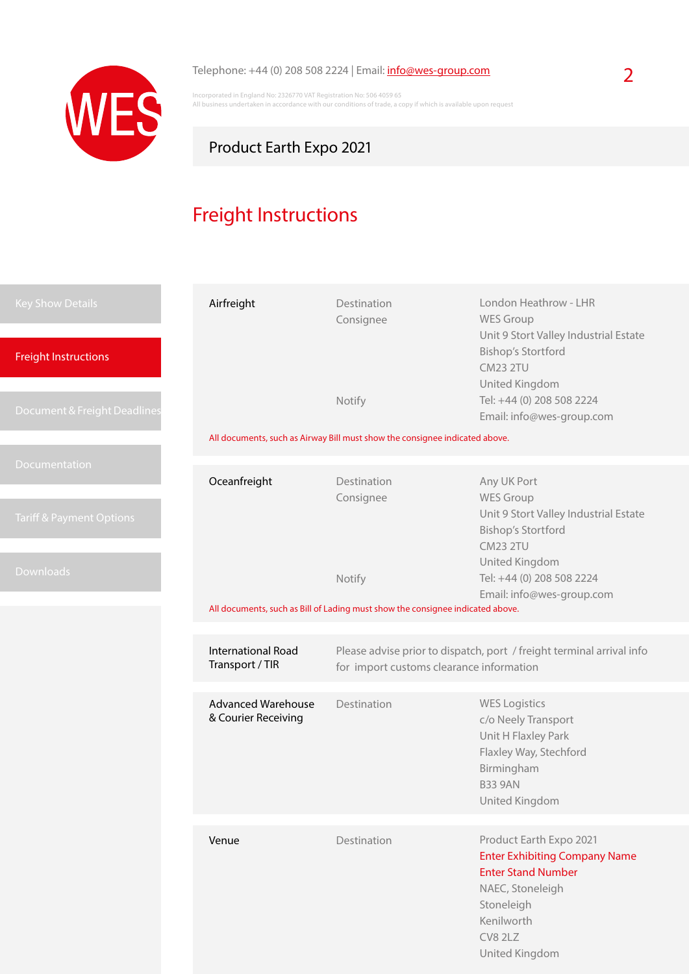

## Telephone: +44 (0) 208 508 2224 | Email: **[info@wes-group.com](mailto:info%40wes-group.com?subject=Product%20Earth%20Expo%202021%20-%20Logistic%20Services)** 2

Incorporated in England No: 2326770 VAT Registration No: 506 4059 65 All business undertaken in accordance with our conditions of trade, a copy if which is available upon request

## Product Earth Expo 2021

# Freight Instructions

| <b>Key Show Details</b><br><b>Freight Instructions</b> | Airfreight                                       | Destination<br>Consignee                                                                                          | London Heathrow - LHR<br><b>WES Group</b><br>Unit 9 Stort Valley Industrial Estate<br><b>Bishop's Stortford</b><br><b>CM23 2TU</b><br>United Kingdom                      |  |  |
|--------------------------------------------------------|--------------------------------------------------|-------------------------------------------------------------------------------------------------------------------|---------------------------------------------------------------------------------------------------------------------------------------------------------------------------|--|--|
| Document & Freight Deadlines                           |                                                  | Notify                                                                                                            | Tel: +44 (0) 208 508 2224<br>Email: info@wes-group.com                                                                                                                    |  |  |
|                                                        |                                                  | All documents, such as Airway Bill must show the consignee indicated above.                                       |                                                                                                                                                                           |  |  |
| Documentation<br><b>Tariff &amp; Payment Options</b>   | Oceanfreight                                     | Destination<br>Consignee                                                                                          | Any UK Port<br><b>WES Group</b><br>Unit 9 Stort Valley Industrial Estate<br><b>Bishop's Stortford</b>                                                                     |  |  |
| <b>Downloads</b>                                       |                                                  | Notify                                                                                                            | <b>CM23 2TU</b><br>United Kingdom<br>Tel: +44 (0) 208 508 2224<br>Email: info@wes-group.com                                                                               |  |  |
|                                                        |                                                  | All documents, such as Bill of Lading must show the consignee indicated above.                                    |                                                                                                                                                                           |  |  |
|                                                        | International Road<br>Transport / TIR            | Please advise prior to dispatch, port / freight terminal arrival info<br>for import customs clearance information |                                                                                                                                                                           |  |  |
|                                                        | <b>Advanced Warehouse</b><br>& Courier Receiving | Destination                                                                                                       | <b>WES Logistics</b><br>c/o Neely Transport<br>Unit H Flaxley Park<br>Flaxley Way, Stechford<br>Birmingham<br><b>B33 9AN</b><br>United Kingdom                            |  |  |
|                                                        | Venue                                            | Destination                                                                                                       | Product Earth Expo 2021<br><b>Enter Exhibiting Company Name</b><br><b>Enter Stand Number</b><br>NAEC, Stoneleigh<br>Stoneleigh<br>Kenilworth<br>CV8 2LZ<br>United Kingdom |  |  |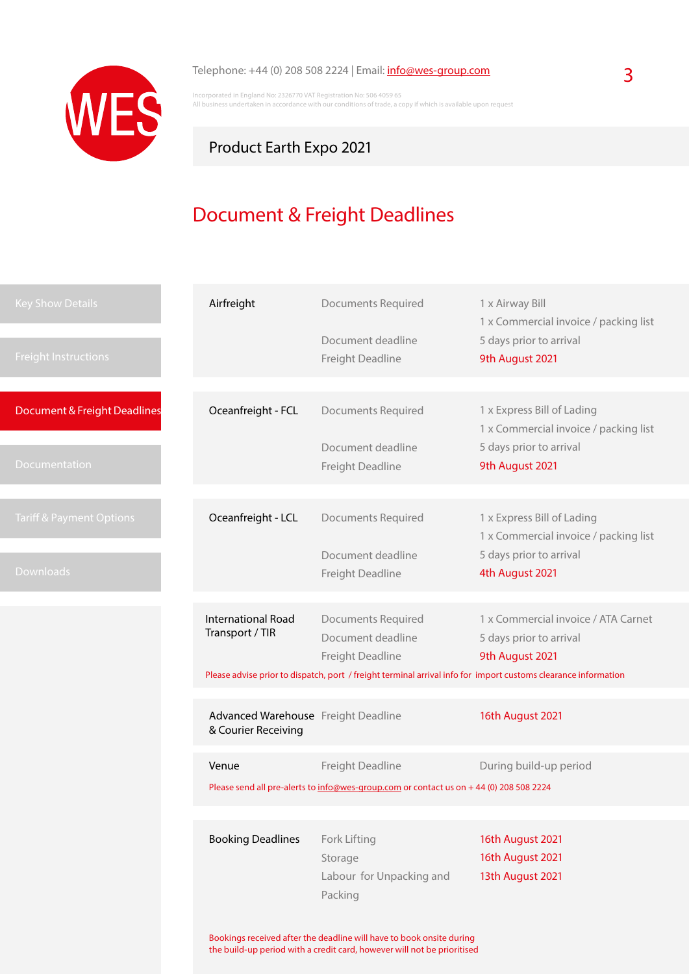

### Telephone: +44 (0) 208 508 2224 | Email: **[info@wes-group.com](mailto:info%40wes-group.com?subject=Product%20Earth%20Expo%202021%20-%20Logistic%20Services)** 3

Incorporated in England No: 2326770 VAT Registration No: 506 4059 65 All business undertaken in accordance with our conditions of trade, a copy if which is available upon request

### Product Earth Expo 2021

# Document & Freight Deadlines

| <b>Key Show Details</b>             | Airfreight                                                                                                                                      | <b>Documents Required</b>                                                                                      | 1 x Airway Bill<br>1 x Commercial invoice / packing list                                       |
|-------------------------------------|-------------------------------------------------------------------------------------------------------------------------------------------------|----------------------------------------------------------------------------------------------------------------|------------------------------------------------------------------------------------------------|
| <b>Freight Instructions</b>         |                                                                                                                                                 | Document deadline<br>Freight Deadline                                                                          | 5 days prior to arrival<br>9th August 2021                                                     |
|                                     |                                                                                                                                                 |                                                                                                                |                                                                                                |
| Document & Freight Deadlines        | Oceanfreight - FCL                                                                                                                              | <b>Documents Required</b><br>Document deadline                                                                 | 1 x Express Bill of Lading<br>1 x Commercial invoice / packing list<br>5 days prior to arrival |
| <b>Documentation</b>                |                                                                                                                                                 | Freight Deadline                                                                                               | 9th August 2021                                                                                |
|                                     |                                                                                                                                                 |                                                                                                                |                                                                                                |
| <b>Tariff &amp; Payment Options</b> | Oceanfreight - LCL                                                                                                                              | <b>Documents Required</b>                                                                                      | 1 x Express Bill of Lading<br>1 x Commercial invoice / packing list                            |
| <b>Downloads</b>                    |                                                                                                                                                 | Document deadline<br>Freight Deadline                                                                          | 5 days prior to arrival<br>4th August 2021                                                     |
|                                     |                                                                                                                                                 |                                                                                                                |                                                                                                |
|                                     | <b>International Road</b>                                                                                                                       | <b>Documents Required</b>                                                                                      | 1 x Commercial invoice / ATA Carnet                                                            |
|                                     | Transport / TIR                                                                                                                                 | Document deadline                                                                                              | 5 days prior to arrival                                                                        |
|                                     |                                                                                                                                                 | Freight Deadline                                                                                               | 9th August 2021                                                                                |
|                                     |                                                                                                                                                 | Please advise prior to dispatch, port / freight terminal arrival info for import customs clearance information |                                                                                                |
|                                     |                                                                                                                                                 |                                                                                                                |                                                                                                |
|                                     | Advanced Warehouse Freight Deadline<br>& Courier Receiving                                                                                      |                                                                                                                | 16th August 2021                                                                               |
|                                     | Venue                                                                                                                                           | Freight Deadline                                                                                               | During build-up period                                                                         |
|                                     | Please send all pre-alerts to info@wes-group.com or contact us on +44 (0) 208 508 2224                                                          |                                                                                                                |                                                                                                |
|                                     |                                                                                                                                                 |                                                                                                                |                                                                                                |
|                                     | <b>Booking Deadlines</b>                                                                                                                        | Fork Lifting                                                                                                   | 16th August 2021                                                                               |
|                                     |                                                                                                                                                 | Storage                                                                                                        | 16th August 2021                                                                               |
|                                     |                                                                                                                                                 | Labour for Unpacking and                                                                                       | 13th August 2021                                                                               |
|                                     |                                                                                                                                                 | Packing                                                                                                        |                                                                                                |
|                                     |                                                                                                                                                 |                                                                                                                |                                                                                                |
|                                     | Bookings received after the deadline will have to book onsite during<br>the build-up period with a credit card, however will not be prioritised |                                                                                                                |                                                                                                |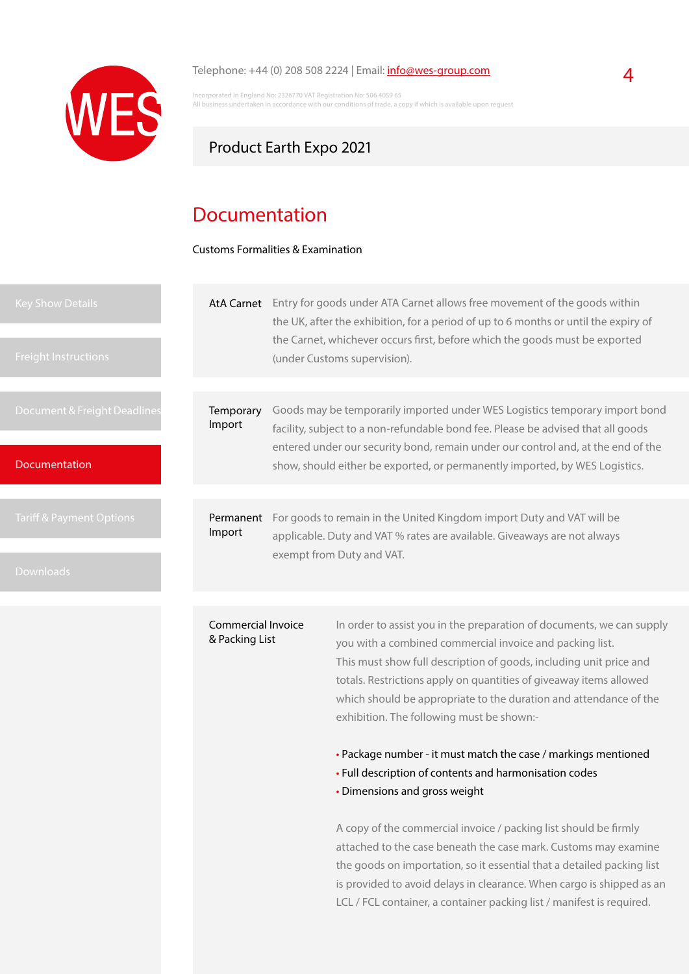

#### Telephone:  $+44$  (0) 208 508 2224 | Email:  $info@wes-group.com$  $info@wes-group.com$  $info@wes-group.com$ </u>

Incorporated in England No: 2326770 VAT Registration No: 506 4059 65 Traken in accordance with our conditions of trade, a copy if which is available upon request

### Product Earth Expo 2021

## Documentation

Customs Formalities & Examination

| <b>Key Show Details</b><br><b>Freight Instructions</b> | <b>AtA Carnet</b>         |                                                                                                       | Entry for goods under ATA Carnet allows free movement of the goods within<br>the UK, after the exhibition, for a period of up to 6 months or until the expiry of<br>the Carnet, whichever occurs first, before which the goods must be exported<br>(under Customs supervision).                                                    |  |
|--------------------------------------------------------|---------------------------|-------------------------------------------------------------------------------------------------------|------------------------------------------------------------------------------------------------------------------------------------------------------------------------------------------------------------------------------------------------------------------------------------------------------------------------------------|--|
| Document & Freight Deadlines<br>Documentation          | Temporary<br>Import       |                                                                                                       | Goods may be temporarily imported under WES Logistics temporary import bond<br>facility, subject to a non-refundable bond fee. Please be advised that all goods<br>entered under our security bond, remain under our control and, at the end of the<br>show, should either be exported, or permanently imported, by WES Logistics. |  |
| Tariff & Payment Options                               | Permanent                 |                                                                                                       | For goods to remain in the United Kingdom import Duty and VAT will be                                                                                                                                                                                                                                                              |  |
|                                                        | Import                    | applicable. Duty and VAT % rates are available. Giveaways are not always<br>exempt from Duty and VAT. |                                                                                                                                                                                                                                                                                                                                    |  |
| <b>Downloads</b>                                       |                           |                                                                                                       |                                                                                                                                                                                                                                                                                                                                    |  |
|                                                        | <b>Commercial Invoice</b> |                                                                                                       | In order to assist you in the preparation of documents, we can supply                                                                                                                                                                                                                                                              |  |
|                                                        | & Packing List            |                                                                                                       | you with a combined commercial invoice and packing list.<br>This must show full description of goods, including unit price and                                                                                                                                                                                                     |  |

This must show full description of goods, including unit price and totals. Restrictions apply on quantities of giveaway items allowed which should be appropriate to the duration and attendance of the exhibition. The following must be shown:-

• Package number - it must match the case / markings mentioned

- Full description of contents and harmonisation codes
- Dimensions and gross weight

A copy of the commercial invoice / packing list should be firmly attached to the case beneath the case mark. Customs may examine the goods on importation, so it essential that a detailed packing list is provided to avoid delays in clearance. When cargo is shipped as an LCL / FCL container, a container packing list / manifest is required.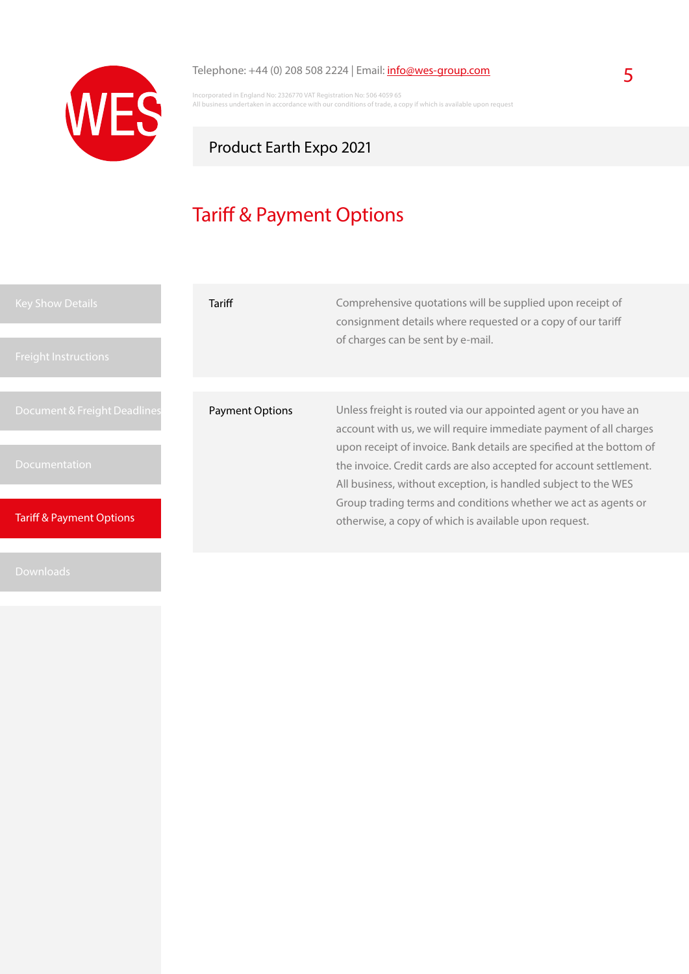

## Telephone: +44 (0) 208 508 2224 | Email:  $\frac{info@wes-group.com}{}$  $\frac{info@wes-group.com}{}$  $\frac{info@wes-group.com}{}$  5

Incorporated in England No: 2326770 VAT Registration No: 506 4059 65 All business undertaken in accordance with our conditions of trade, a copy if which is available upon request

## Product Earth Expo 2021

# Tariff & Payment Options

| <b>Key Show Details</b><br><b>Freight Instructions</b> | Tariff                 | Comprehensive quotations will be supplied upon receipt of<br>consignment details where requested or a copy of our tariff<br>of charges can be sent by e-mail.                                                                                                                      |
|--------------------------------------------------------|------------------------|------------------------------------------------------------------------------------------------------------------------------------------------------------------------------------------------------------------------------------------------------------------------------------|
| Document & Freight Deadlines                           | <b>Payment Options</b> | Unless freight is routed via our appointed agent or you have an                                                                                                                                                                                                                    |
| <b>Documentation</b>                                   |                        | account with us, we will require immediate payment of all charges<br>upon receipt of invoice. Bank details are specified at the bottom of<br>the invoice. Credit cards are also accepted for account settlement.<br>All business, without exception, is handled subject to the WES |
| <b>Tariff &amp; Payment Options</b>                    |                        | Group trading terms and conditions whether we act as agents or<br>otherwise, a copy of which is available upon request.                                                                                                                                                            |